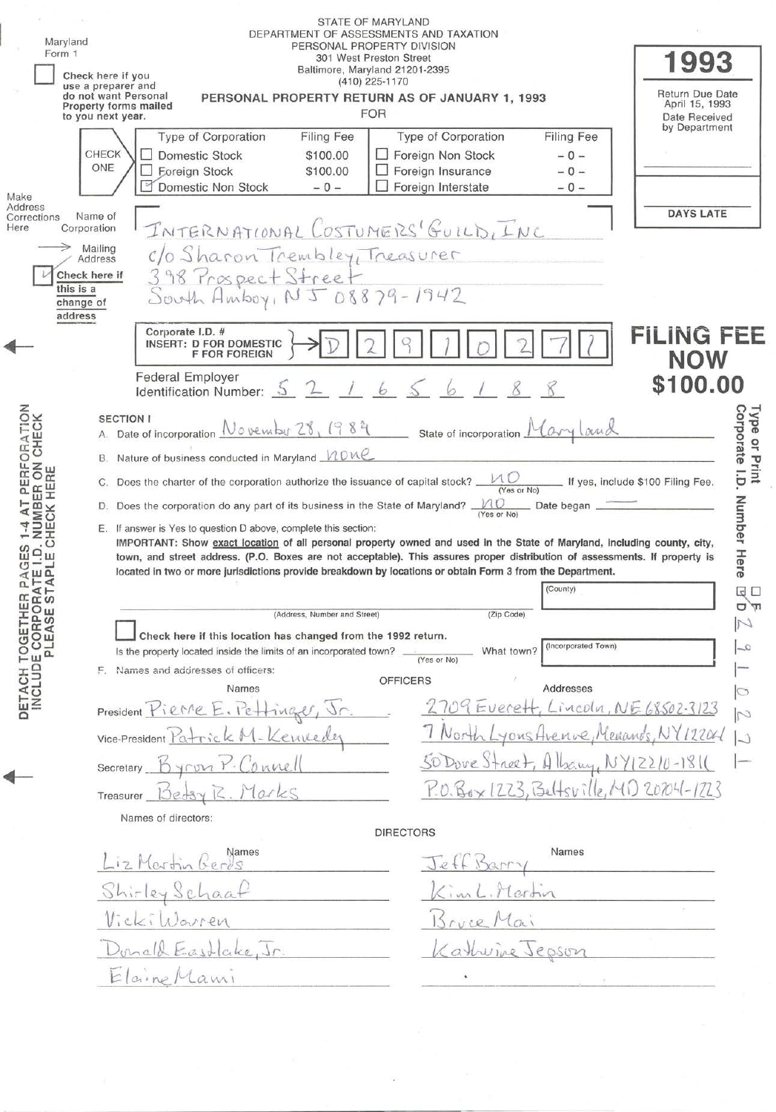| Maryland<br>Form 1                                                                                                 |                                                                                       |                                                                                                                                                                                                                                                                                                          |                                                                                                                                                                                |                                                                                                                                                                                                                                                                                                                                                                                                                                                                                                                                                                                                                                                                                            | 1993<br><b>Return Due Date</b><br>April 15, 1993<br>Date Received<br>by Department                                                                                                                                                                                                                                                                                                                                                                                                                                                                                                                                                                                                                                             |
|--------------------------------------------------------------------------------------------------------------------|---------------------------------------------------------------------------------------|----------------------------------------------------------------------------------------------------------------------------------------------------------------------------------------------------------------------------------------------------------------------------------------------------------|--------------------------------------------------------------------------------------------------------------------------------------------------------------------------------|--------------------------------------------------------------------------------------------------------------------------------------------------------------------------------------------------------------------------------------------------------------------------------------------------------------------------------------------------------------------------------------------------------------------------------------------------------------------------------------------------------------------------------------------------------------------------------------------------------------------------------------------------------------------------------------------|--------------------------------------------------------------------------------------------------------------------------------------------------------------------------------------------------------------------------------------------------------------------------------------------------------------------------------------------------------------------------------------------------------------------------------------------------------------------------------------------------------------------------------------------------------------------------------------------------------------------------------------------------------------------------------------------------------------------------------|
| CHECK<br>ONE<br>Name of<br>Corporation<br>Mailing<br>Address<br>Check here if<br>this is a<br>change of<br>address | Type of Corporation<br>□ Domestic Stock<br><b>Eoreign Stock</b><br>Domestic Non Stock | <b>Filing Fee</b><br>\$100.00<br>\$100.00<br>$-0-$                                                                                                                                                                                                                                                       | Type of Corporation<br>Foreign Non Stock<br>Foreign Insurance<br>Foreign Interstate                                                                                            | Filing Fee<br>$-0-$<br>$-0 -$<br>$-0-$                                                                                                                                                                                                                                                                                                                                                                                                                                                                                                                                                                                                                                                     | <b>DAYS LATE</b>                                                                                                                                                                                                                                                                                                                                                                                                                                                                                                                                                                                                                                                                                                               |
|                                                                                                                    | <b>F FOR FOREIGN</b><br><b>Federal Employer</b>                                       |                                                                                                                                                                                                                                                                                                          |                                                                                                                                                                                |                                                                                                                                                                                                                                                                                                                                                                                                                                                                                                                                                                                                                                                                                            | <b>FILING FEE</b><br><b>NOW</b><br>\$100.00                                                                                                                                                                                                                                                                                                                                                                                                                                                                                                                                                                                                                                                                                    |
| B.                                                                                                                 | Names                                                                                 |                                                                                                                                                                                                                                                                                                          | (Yes or No)<br><b>OFFICERS</b>                                                                                                                                                 | If yes, include \$100 Filing Fee.<br>(County)<br>(Incorporated Town)<br>Addresses<br>venue, Menands, NY                                                                                                                                                                                                                                                                                                                                                                                                                                                                                                                                                                                    | Corporate I.D.<br>Type or Print<br><b>Number</b><br>Her<br>œ<br>$\Box$<br>$Lincolu, NE68502-3123$<br>M<br>12204                                                                                                                                                                                                                                                                                                                                                                                                                                                                                                                                                                                                                |
|                                                                                                                    | Names                                                                                 |                                                                                                                                                                                                                                                                                                          |                                                                                                                                                                                | Names                                                                                                                                                                                                                                                                                                                                                                                                                                                                                                                                                                                                                                                                                      |                                                                                                                                                                                                                                                                                                                                                                                                                                                                                                                                                                                                                                                                                                                                |
|                                                                                                                    |                                                                                       |                                                                                                                                                                                                                                                                                                          |                                                                                                                                                                                | Jepson                                                                                                                                                                                                                                                                                                                                                                                                                                                                                                                                                                                                                                                                                     |                                                                                                                                                                                                                                                                                                                                                                                                                                                                                                                                                                                                                                                                                                                                |
|                                                                                                                    |                                                                                       | Check here if you<br>use a preparer and<br>do not want Personal<br><b>Property forms mailed</b><br>to you next year.<br>Corporate I.D. #<br><b>SECTION I</b><br>F. Names and addresses of officers:<br>Treasurer<br>Names of directors:<br>iz Martin Gerd<br>Shirley Schaa<br>VickiWarren<br>Elaine Mami | <b>INSERT: D FOR DOMESTIC</b><br>Identification Number: 5<br>President Pierre E. Pettinge<br>Vice-President Patrick M-Kennedez<br>Connell<br>Betsy R. Marks<br>& Eastlake, Jr. | STATE OF MARYLAND<br>DEPARTMENT OF ASSESSMENTS AND TAXATION<br>PERSONAL PROPERTY DIVISION<br>301 West Preston Street<br>Baltimore, Maryland 21201-2395<br>(410) 225-1170<br><b>FOR</b><br>c/o Sharon Trembley, Treasurer<br>398 Prospect Street<br>South Amboy, NJ 08879-1942<br>Nature of business conducted in Maryland MOKE<br>Does the charter of the corporation authorize the issuance of capital stock? _<br>D. Does the corporation do any part of its business in the State of Maryland?.<br>E. If answer is Yes to question D above, complete this section:<br>(Address, Number and Street)<br>Check here if this location has changed from the 1992 return.<br><b>DIRECTORS</b> | PERSONAL PROPERTY RETURN AS OF JANUARY 1, 1993<br>INTERNATIONAL COSTUMERS' GUILD, INC<br>A. Date of incorporation November 28, 1982 State of incorporation Maryland<br>$M$ $\overline{O}$<br>(Yes or No)<br>MO __ Date began _<br>IMPORTANT: Show exact location of all personal property owned and used in the State of Maryland, including county, city,<br>town, and street address. (P.O. Boxes are not acceptable). This assures proper distribution of assessments. If property is<br>located in two or more jurisdictions provide breakdown by locations or obtain Form 3 from the Department.<br>(Zip Code)<br>What town?<br>$2709$ Everett<br>50 Dove Street,<br>$Y.0.86 \times 1223, 1341 + sville, 141)$ 20204-1223 |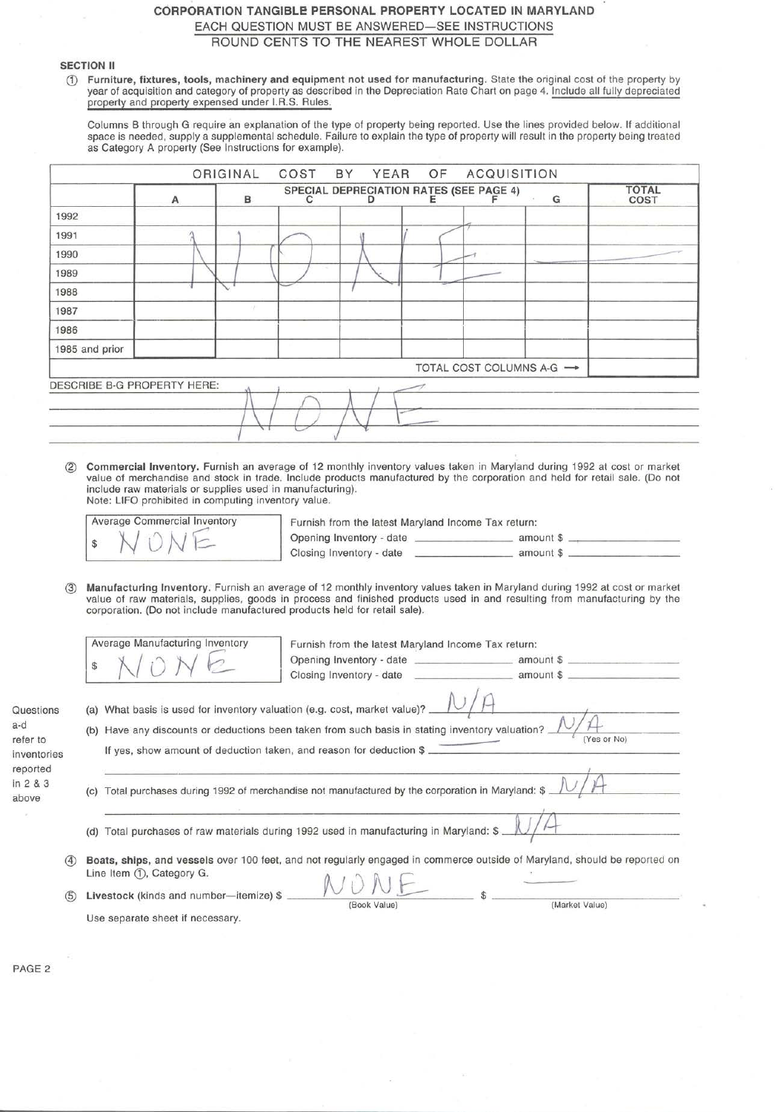# CORPORATION TANGIBLE PERSONAL PROPERTY LOCATED IN MARYLAND EACH QUESTION MUST BE ANSWERED-SEE INSTRUCTIONS ROUND CENTS TO THE NEAREST WHOLE DOLLAR

# SECTION II

CD Furniture, fixtures, tools, machinery and equipment not used for manufacturing. State the original cost of the property by year of acquisition and category of property as described in the Depreciation Rate Chart on page 4. Include all fully depreciated property and property expensed under I.R.S. Rules.

Columns B through G require an explanation of the type of property being reported. Use the lines provided below. If additional space is needed, supply a supplemental schedule. Failure to explain the type of property will result in the property being treated as Category A property (See Instructions for example).

|                             |   | ORIGINAL     | COST | BY YEAR OF ACQUISITION                  |  |                           |                      |
|-----------------------------|---|--------------|------|-----------------------------------------|--|---------------------------|----------------------|
|                             | A | $\mathsf{B}$ |      | SPECIAL DEPRECIATION RATES (SEE PAGE 4) |  | G                         | <b>TOTAL</b><br>COST |
| 1992                        |   |              |      |                                         |  |                           |                      |
| 1991                        |   |              |      |                                         |  |                           |                      |
| 1990                        |   |              |      |                                         |  |                           |                      |
| 1989                        |   |              |      |                                         |  |                           |                      |
| 1988                        |   |              |      |                                         |  |                           |                      |
| 1987                        |   |              |      |                                         |  |                           |                      |
| 1986                        |   |              |      |                                         |  |                           |                      |
| 1985 and prior              |   |              |      |                                         |  |                           |                      |
|                             |   |              |      |                                         |  | TOTAL COST COLUMNS A-G -> |                      |
| DESCRIBE B-G PROPERTY HERE: |   |              |      |                                         |  |                           |                      |
|                             |   |              |      |                                         |  |                           |                      |
|                             |   |              |      |                                         |  |                           |                      |
|                             |   |              |      |                                         |  |                           |                      |

@ Commercial Inventory. Furnish an average of 12 monthly inventory values taken in Maryland during 1992 at cost or market value of merchandise and stock in trade. Include products manufactured by the corporation and held for retail sale. (Do not include raw materials or supplies used in manufacturing). Note: LIFO prohibited in computing inventory value.

|  |  | <b>Average Commercial Inventory</b> |
|--|--|-------------------------------------|
|  |  |                                     |

Furnish from the latest Maryland Income Tax return: Opening Inventory - date \_\_\_\_\_\_\_ amount \$ --.--------- ------- amount\$ \_\_\_\_\_\_\_\_ \_ Closing Inventory - date

@ Manufacturing Inventory. Furnish an average of 12 monthly inventory values taken in Maryland during 1992 at cost or market value of raw materials, supplies, goods in process and finished products used in and resulting from manufacturing by the corporation. (Do not include manufactured products held for retail sale).

|                                             |     | Average Manufacturing Inventory<br>Furnish from the latest Maryland Income Tax return:                                                                                                                                                                                 |
|---------------------------------------------|-----|------------------------------------------------------------------------------------------------------------------------------------------------------------------------------------------------------------------------------------------------------------------------|
|                                             |     | amount \$<br>Closing Inventory - date                                                                                                                                                                                                                                  |
| Questions<br>a-d<br>refer to<br>inventories |     | (a) What basis is used for inventory valuation (e.g. cost, market value)? _<br>(b) Have any discounts or deductions been taken from such basis in stating inventory valuation? _<br>(Yes or No)<br>If yes, show amount of deduction taken, and reason for deduction \$ |
| reported<br>in 2 & 3<br>above               |     | Total purchases during 1992 of merchandise not manufactured by the corporation in Maryland: \$<br>(C)                                                                                                                                                                  |
|                                             |     | Total purchases of raw materials during 1992 used in manufacturing in Maryland: \$ _<br>(d)                                                                                                                                                                            |
|                                             | (4) | Boats, ships, and vessels over 100 feet, and not regularly engaged in commerce outside of Maryland, should be reported on<br>Line Item (1), Category G.                                                                                                                |
|                                             | (5) | Livestock (kinds and number-itemize) \$<br>(Book Value)<br>(Market Value)                                                                                                                                                                                              |
|                                             |     | Use separate sheet if necessary.                                                                                                                                                                                                                                       |

PAGE 2

Question a-d

inventori reported in 2 & 3 above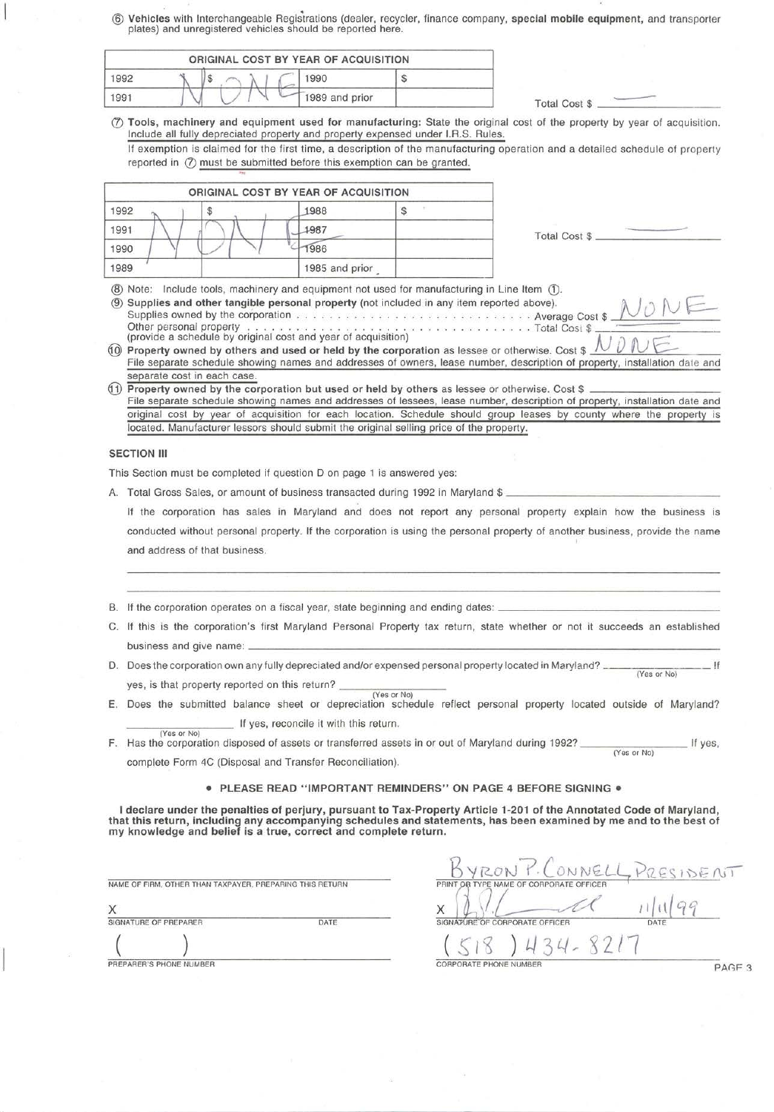® **Vehicles** with Interchangeable Regisirations (dealer, recycler, finance company, **special mobile equipment,** and transporter plates) and unregistered vehicles should be reported here.

|      |  | ORIGINAL COST BY YEAR OF ACQUISITION |                |                      |  |
|------|--|--------------------------------------|----------------|----------------------|--|
| 1992 |  | 990                                  |                |                      |  |
| 1991 |  |                                      | 1989 and prior | <b>Total Cost \$</b> |  |

(!) **Tools, machinery and equipment used for manufacturing:** State the original cost of the property by year of acqui sition. Include all fully depreciated property and property expensed under l.R.S. Rules. If exemption is claimed for the first time, a description of the manufacturing operation and a detailed schedule of property

reported in  $(2)$  must be submitted before this exemption can be granted.

|              |                             | ORIGINAL COST BY YEAR OF ACQUISITION                                                                                                                                                      |                                                                                                                                                                                                                                                     |
|--------------|-----------------------------|-------------------------------------------------------------------------------------------------------------------------------------------------------------------------------------------|-----------------------------------------------------------------------------------------------------------------------------------------------------------------------------------------------------------------------------------------------------|
| 1992         |                             | 1988                                                                                                                                                                                      |                                                                                                                                                                                                                                                     |
| 1991         |                             | 1987                                                                                                                                                                                      | Total Cost \$                                                                                                                                                                                                                                       |
| 1990         |                             | 986                                                                                                                                                                                       |                                                                                                                                                                                                                                                     |
| 1989         |                             | 1985 and prior                                                                                                                                                                            |                                                                                                                                                                                                                                                     |
| (9)          |                             | (8) Note: Include tools, machinery and equipment not used for manufacturing in Line Item (1).<br>Supplies and other tangible personal property (not included in any item reported above). |                                                                                                                                                                                                                                                     |
|              |                             |                                                                                                                                                                                           | Property owned by others and used or held by the corporation as lessee or otherwise. Cost \$<br>File separate schedule showing names and addresses of owners, lease number, description of property, installation date and                          |
|              | separate cost in each case. |                                                                                                                                                                                           | Property owned by the corporation but used or held by others as lessee or otherwise. Cost \$                                                                                                                                                        |
| (10)<br>(11) |                             |                                                                                                                                                                                           | File separate schedule showing names and addresses of lessees, lease number, description of property, installation date and<br>original cost by year of acquisition for each location. Schedule should group leases by county where the property is |

This Section must be completed if question D on page 1 is answered yes:

A. Total Gross Sales, or amount of business transacted during 1992 in Maryland \$ \_

If the corporation has sales in Maryland and does not report any personal property explain how the business is conducted without personal property. If the corporation is using the personal property of another business, provide the name and address of that business.

- B. If the corporation operates on a fiscal year, state beginning and ending dates: \_
- C. If this is the corporation's first Maryland Personal Property tax return, state whether or not it succeeds an established business and give name: --------------------------------------
- 0. Does the corporation own any fully depreciated and/or expensed personal property located in Maryland? \_\_\_\_\_\_\_\_ \_ !f (Yes or No) yes, is that property reported on this return?  $\frac{1}{\sqrt{(\text{Yes or No})}}$
- E. Does the submitted balance sheet or depreciation schedule reflect personal property located outside of Maryland? If yes, reconcile it with this return.

(Yes or No) F. Has the corporation disposed of assets or transferred assets in or out of Maryland during 1992? \_\_\_\_\_\_\_\_\_\_\_\_ If yes,

complete Form 4C (Disposal and Transfer Reconciliation).

## • **PLEASE READ "IMPORTANT REMINDERS" ON PAGE 4 BEFORE SIGNING•**

**I declare under the penalties of perjury, pursuant to Tax-Property Article 1-201 of the Annotated Code of Maryland, that this return, including any accompanying schedules and statements, has been examined by me and to the best of my knowledge and belief is a true, correct and complete return.** 

NAME OF FIRM, OTHER THAN TAXPAYER. PREPARING THIS RETURN

| Χ | and the company of the form of the company of the company |      |  |
|---|-----------------------------------------------------------|------|--|
|   | SIGNATURE OF PREPARER                                     | DATE |  |
|   |                                                           |      |  |

YRON P. CONNELL PRESIDENT  $\mathscr{A}$ SIGNATURE OF CORPORATE OFFICER 1434-8217 PREPARER'S PHONE NUMBER PAGF 3

 $\overline{\phantom{a}}$